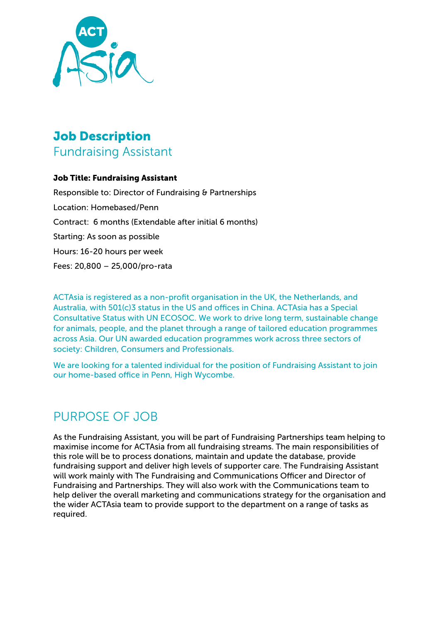

# Job Description Fundraising Assistant

### Job Title: Fundraising Assistant

Responsible to: Director of Fundraising & Partnerships Location: Homebased/Penn Contract: 6 months (Extendable after initial 6 months) Starting: As soon as possible Hours: 16-20 hours per week Fees: 20,800 – 25,000/pro-rata

ACTAsia is registered as a non-profit organisation in the UK, the Netherlands, and Australia, with 501(c)3 status in the US and offices in China. ACTAsia has a Special Consultative Status with UN ECOSOC. We work to drive long term, sustainable change for animals, people, and the planet through a range of tailored education programmes across Asia. Our UN awarded education programmes work across three sectors of society: Children, Consumers and Professionals.

We are looking for a talented individual for the position of Fundraising Assistant to join our home-based office in Penn, High Wycombe.

## PURPOSE OF JOB

As the Fundraising Assistant, you will be part of Fundraising Partnerships team helping to maximise income for ACTAsia from all fundraising streams. The main responsibilities of this role will be to process donations, maintain and update the database, provide fundraising support and deliver high levels of supporter care. The Fundraising Assistant will work mainly with The Fundraising and Communications Officer and Director of Fundraising and Partnerships. They will also work with the Communications team to help deliver the overall marketing and communications strategy for the organisation and the wider ACTAsia team to provide support to the department on a range of tasks as required.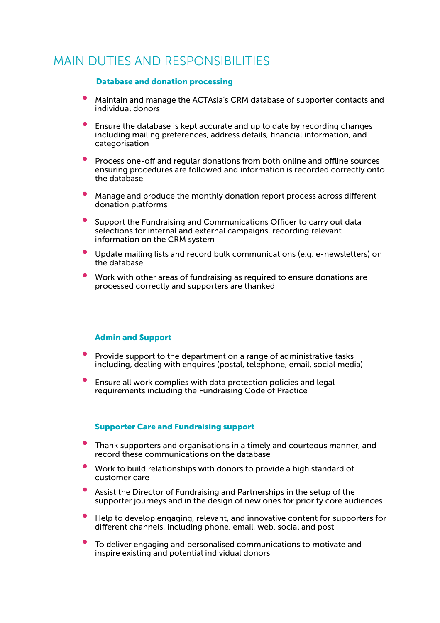### MAIN DUTIES AND RESPONSIBILITIES

#### Database and donation processing

- Maintain and manage the ACTAsia's CRM database of supporter contacts and individual donors
- Ensure the database is kept accurate and up to date by recording changes including mailing preferences, address details, financial information, and categorisation
- Process one-off and regular donations from both online and offline sources ensuring procedures are followed and information is recorded correctly onto the database
- Manage and produce the monthly donation report process across different donation platforms
- Support the Fundraising and Communications Officer to carry out data selections for internal and external campaigns, recording relevant information on the CRM system
- Update mailing lists and record bulk communications (e.g. e-newsletters) on the database
- Work with other areas of fundraising as required to ensure donations are processed correctly and supporters are thanked

#### Admin and Support

- Provide support to the department on a range of administrative tasks including, dealing with enquires (postal, telephone, email, social media)
- Ensure all work complies with data protection policies and legal requirements including the Fundraising Code of Practice

#### Supporter Care and Fundraising support

- Thank supporters and organisations in a timely and courteous manner, and record these communications on the database
- Work to build relationships with donors to provide a high standard of customer care
- Assist the Director of Fundraising and Partnerships in the setup of the supporter journeys and in the design of new ones for priority core audiences
- Help to develop engaging, relevant, and innovative content for supporters for different channels, including phone, email, web, social and post
- To deliver engaging and personalised communications to motivate and inspire existing and potential individual donors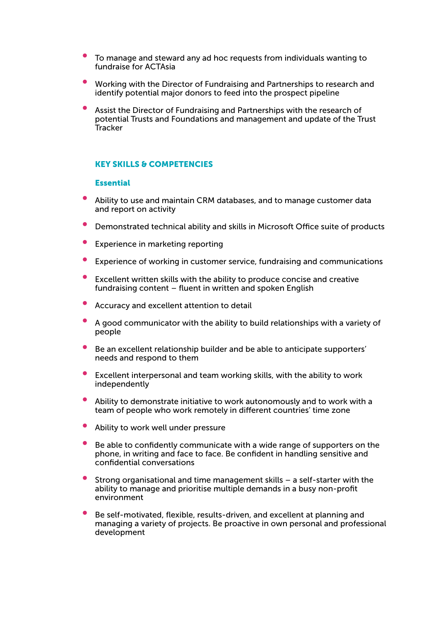- To manage and steward any ad hoc requests from individuals wanting to fundraise for ACTAsia
- Working with the Director of Fundraising and Partnerships to research and identify potential major donors to feed into the prospect pipeline
- Assist the Director of Fundraising and Partnerships with the research of potential Trusts and Foundations and management and update of the Trust **Tracker**

#### KEY SKILLS & COMPETENCIES

#### **Essential**

- Ability to use and maintain CRM databases, and to manage customer data and report on activity
- Demonstrated technical ability and skills in Microsoft Office suite of products
- Experience in marketing reporting
- Experience of working in customer service, fundraising and communications
- Excellent written skills with the ability to produce concise and creative fundraising content – fluent in written and spoken English
- Accuracy and excellent attention to detail
- A good communicator with the ability to build relationships with a variety of people
- Be an excellent relationship builder and be able to anticipate supporters' needs and respond to them
- Excellent interpersonal and team working skills, with the ability to work independently
- Ability to demonstrate initiative to work autonomously and to work with a team of people who work remotely in different countries' time zone
- Ability to work well under pressure
- Be able to confidently communicate with a wide range of supporters on the phone, in writing and face to face. Be confident in handling sensitive and confidential conversations
- Strong organisational and time management skills  $-$  a self-starter with the ability to manage and prioritise multiple demands in a busy non-profit environment
- Be self-motivated, flexible, results-driven, and excellent at planning and managing a variety of projects. Be proactive in own personal and professional development